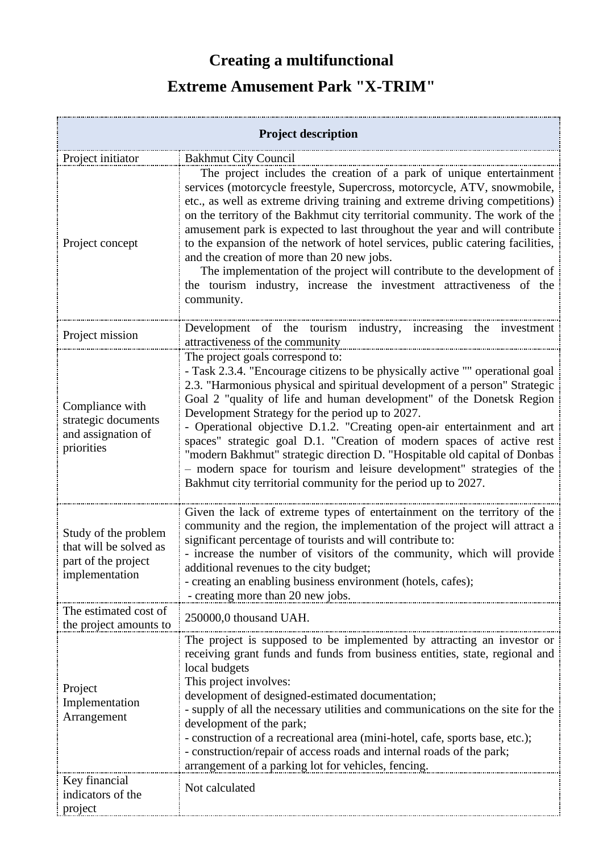## **Creating a multifunctional**

## **Extreme Amusement Park "X-TRIM"**

| <b>Project description</b>                                                              |                                                                                                                                                                                                                                                                                                                                                                                                                                                                                                                                                                                                                                                                                                       |
|-----------------------------------------------------------------------------------------|-------------------------------------------------------------------------------------------------------------------------------------------------------------------------------------------------------------------------------------------------------------------------------------------------------------------------------------------------------------------------------------------------------------------------------------------------------------------------------------------------------------------------------------------------------------------------------------------------------------------------------------------------------------------------------------------------------|
| Project initiator                                                                       | <b>Bakhmut City Council</b>                                                                                                                                                                                                                                                                                                                                                                                                                                                                                                                                                                                                                                                                           |
| Project concept                                                                         | The project includes the creation of a park of unique entertainment<br>services (motorcycle freestyle, Supercross, motorcycle, ATV, snowmobile,<br>etc., as well as extreme driving training and extreme driving competitions)<br>on the territory of the Bakhmut city territorial community. The work of the<br>amusement park is expected to last throughout the year and will contribute<br>to the expansion of the network of hotel services, public catering facilities,<br>and the creation of more than 20 new jobs.<br>The implementation of the project will contribute to the development of<br>the tourism industry, increase the investment attractiveness of the<br>community.           |
| Project mission                                                                         | Development of the tourism industry, increasing the investment<br>attractiveness of the community                                                                                                                                                                                                                                                                                                                                                                                                                                                                                                                                                                                                     |
| Compliance with<br>strategic documents<br>and assignation of<br>priorities              | The project goals correspond to:<br>- Task 2.3.4. "Encourage citizens to be physically active "" operational goal<br>2.3. "Harmonious physical and spiritual development of a person" Strategic<br>Goal 2 "quality of life and human development" of the Donetsk Region<br>Development Strategy for the period up to 2027.<br>- Operational objective D.1.2. "Creating open-air entertainment and art<br>spaces" strategic goal D.1. "Creation of modern spaces of active rest<br>"modern Bakhmut" strategic direction D. "Hospitable old capital of Donbas<br>- modern space for tourism and leisure development" strategies of the<br>Bakhmut city territorial community for the period up to 2027. |
| Study of the problem<br>that will be solved as<br>part of the project<br>implementation | Given the lack of extreme types of entertainment on the territory of the<br>community and the region, the implementation of the project will attract a<br>significant percentage of tourists and will contribute to:<br>- increase the number of visitors of the community, which will provide<br>additional revenues to the city budget;<br>- creating an enabling business environment (hotels, cafes);<br>- creating more than 20 new jobs.                                                                                                                                                                                                                                                        |
| The estimated cost of<br>the project amounts to                                         | 250000,0 thousand UAH.                                                                                                                                                                                                                                                                                                                                                                                                                                                                                                                                                                                                                                                                                |
| Project<br>Implementation<br>Arrangement                                                | The project is supposed to be implemented by attracting an investor or<br>receiving grant funds and funds from business entities, state, regional and<br>local budgets<br>This project involves:<br>development of designed-estimated documentation;<br>- supply of all the necessary utilities and communications on the site for the<br>development of the park;<br>- construction of a recreational area (mini-hotel, cafe, sports base, etc.);<br>- construction/repair of access roads and internal roads of the park;<br>arrangement of a parking lot for vehicles, fencing.                                                                                                                    |
| Key financial<br>indicators of the<br>project                                           | Not calculated                                                                                                                                                                                                                                                                                                                                                                                                                                                                                                                                                                                                                                                                                        |